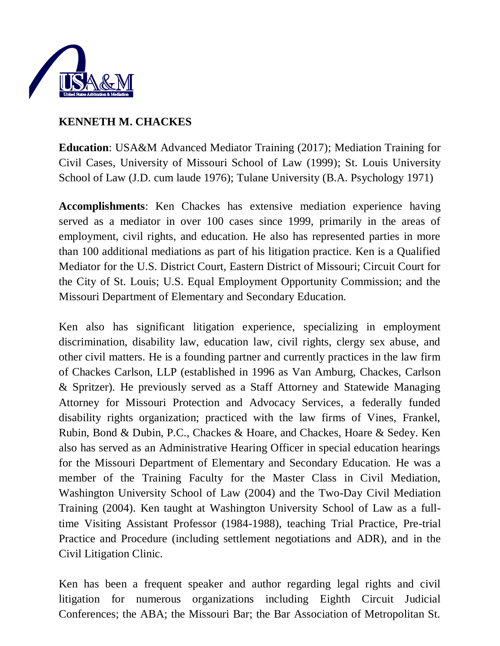

## **KENNETH M. CHACKES**

**Education**: USA&M Advanced Mediator Training (2017); Mediation Training for Civil Cases, University of Missouri School of Law (1999); St. Louis University School of Law (J.D. cum laude 1976); Tulane University (B.A. Psychology 1971)

**Accomplishments**: Ken Chackes has extensive mediation experience having served as a mediator in over 100 cases since 1999, primarily in the areas of employment, civil rights, and education. He also has represented parties in more than 100 additional mediations as part of his litigation practice. Ken is a Qualified Mediator for the U.S. District Court, Eastern District of Missouri; Circuit Court for the City of St. Louis; U.S. Equal Employment Opportunity Commission; and the Missouri Department of Elementary and Secondary Education.

Ken also has significant litigation experience, specializing in employment discrimination, disability law, education law, civil rights, clergy sex abuse, and other civil matters. He is a founding partner and currently practices in the law firm of Chackes Carlson, LLP (established in 1996 as Van Amburg, Chackes, Carlson & Spritzer). He previously served as a Staff Attorney and Statewide Managing Attorney for Missouri Protection and Advocacy Services, a federally funded disability rights organization; practiced with the law firms of Vines, Frankel, Rubin, Bond & Dubin, P.C., Chackes & Hoare, and Chackes, Hoare & Sedey. Ken also has served as an Administrative Hearing Officer in special education hearings for the Missouri Department of Elementary and Secondary Education. He was a member of the Training Faculty for the Master Class in Civil Mediation, Washington University School of Law (2004) and the Two-Day Civil Mediation Training (2004). Ken taught at Washington University School of Law as a fulltime Visiting Assistant Professor (1984-1988), teaching Trial Practice, Pre-trial Practice and Procedure (including settlement negotiations and ADR), and in the Civil Litigation Clinic.

Ken has been a frequent speaker and author regarding legal rights and civil litigation for numerous organizations including Eighth Circuit Judicial Conferences; the ABA; the Missouri Bar; the Bar Association of Metropolitan St.